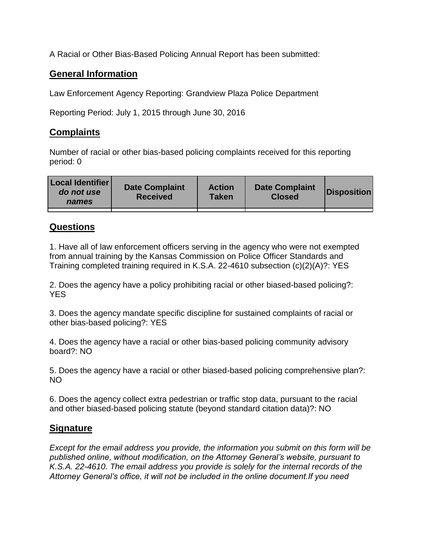A Racial or Other Bias-Based Policing Annual Report has been submitted:

## **General Information**

Law Enforcement Agency Reporting: Grandview Plaza Police Department

Reporting Period: July 1, 2015 through June 30, 2016

## **Complaints**

Number of racial or other bias-based policing complaints received for this reporting period: 0

| <b>Local Identifier</b><br>do not use<br>names | <b>Date Complaint</b><br><b>Received</b> | <b>Action</b><br><b>Taken</b> | <b>Date Complaint</b><br><b>Closed</b> | Disposition |
|------------------------------------------------|------------------------------------------|-------------------------------|----------------------------------------|-------------|
|                                                |                                          |                               |                                        |             |

## **Questions**

1. Have all of law enforcement officers serving in the agency who were not exempted from annual training by the Kansas Commission on Police Officer Standards and Training completed training required in K.S.A. 22-4610 subsection (c)(2)(A)?: YES

2. Does the agency have a policy prohibiting racial or other biased-based policing?: YES

3. Does the agency mandate specific discipline for sustained complaints of racial or other bias-based policing?: YES

4. Does the agency have a racial or other bias-based policing community advisory board?: NO

5. Does the agency have a racial or other biased-based policing comprehensive plan?: NO

6. Does the agency collect extra pedestrian or traffic stop data, pursuant to the racial and other biased-based policing statute (beyond standard citation data)?: NO

## **Signature**

*Except for the email address you provide, the information you submit on this form will be published online, without modification, on the Attorney General's website, pursuant to K.S.A. 22-4610. The email address you provide is solely for the internal records of the Attorney General's office, it will not be included in the online document.If you need*